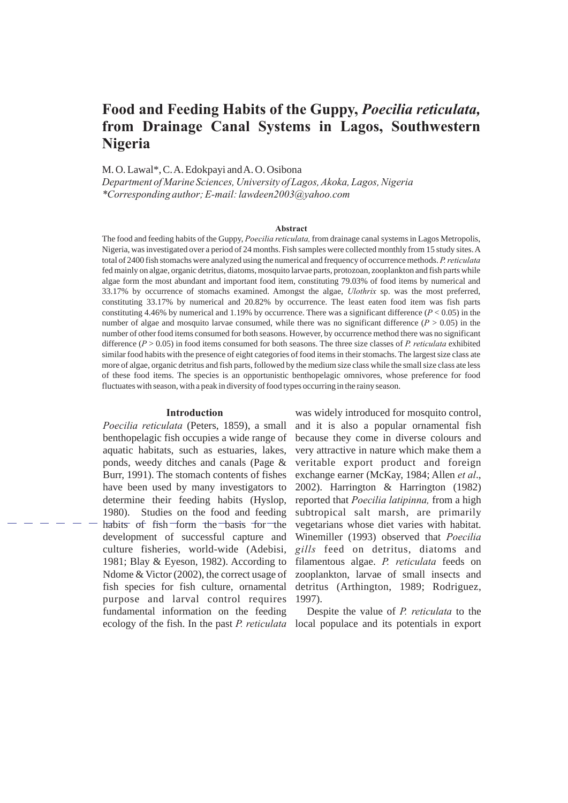# **Food and Feeding Habits of the Guppy,** *Poecilia reticulata,* **from Drainage Canal Systems in Lagos, Southwestern Nigeria**

M. O. Lawal\*, C. A. Edokpayi and A. O. Osibona

*Department of Marine Sciences, University of Lagos, Akoka, Lagos, Nigeria \*Corresponding author; E-mail: lawdeen2003@yahoo.com*

#### **Abstract**

The food and feeding habits of the Guppy, *Poecilia reticulata,* from drainage canal systems in Lagos Metropolis, Nigeria, was investigated over a period of 24 months. Fish samples were collected monthly from 15 study sites. A total of 2400 fish stomachs were analyzed using the numerical and frequency of occurrence methods. *P. reticulata* fed mainly on algae, organic detritus, diatoms, mosquito larvae parts, protozoan, zooplankton and fish parts while algae form the most abundant and important food item, constituting 79.03% of food items by numerical and 33.17% by occurrence of stomachs examined. Amongst the algae, *Ulothrix* sp. was the most preferred, constituting 33.17% by numerical and 20.82% by occurrence. The least eaten food item was fish parts constituting 4.46% by numerical and 1.19% by occurrence. There was a significant difference ( $P < 0.05$ ) in the number of algae and mosquito larvae consumed, while there was no significant difference  $(P > 0.05)$  in the number of other food items consumed for both seasons. However, by occurrence method there was no significant difference (*P* > 0.05) in food items consumed for both seasons. The three size classes of *P. reticulata* exhibited similar food habits with the presence of eight categories of food items in their stomachs. The largest size class ate more of algae, organic detritus and fish parts, followed by the medium size class while the small size class ate less of these food items. The species is an opportunistic benthopelagic omnivores, whose preference for food fluctuates with season, with a peak in diversity of food types occurring in the rainy season.

#### **Introduction**

*Poecilia reticulata* (Peters, 1859), a small benthopelagic fish occupies a wide range of aquatic habitats, such as estuaries, lakes, ponds, weedy ditches and canals (Page & Burr, 1991). The stomach contents of fishes have been used by many investigators to determine their feeding habits (Hyslop, 1980). Studies on the food and feeding habits of fish form the basis for the development of successful capture and culture fisheries, world-wide (Adebisi, 1981; Blay & Eyeson, 1982). According to Ndome & Victor (2002), the correct usage of fish species for fish culture, ornamental purpose and larval control requires fundamental information on the feeding

was widely introduced for mosquito control, and it is also a popular ornamental fish because they come in diverse colours and very attractive in nature which make them a veritable export product and foreign exchange earner (McKay, 1984; Allen *et al*., 2002). Harrington & Harrington (1982) reported that *Poecilia latipinna,* from a high subtropical salt marsh, are primarily vegetarians whose diet varies with habitat. Winemiller (1993) observed that *Poecilia gills* feed on detritus, diatoms and filamentous algae. *P. reticulata* feeds on zooplankton, larvae of small insects and detritus (Arthington, 1989; Rodriguez, 1997).

ecology of the fish. In the past *P. reticulata* local populace and its potentials in export Despite the value of *P. reticulata* to the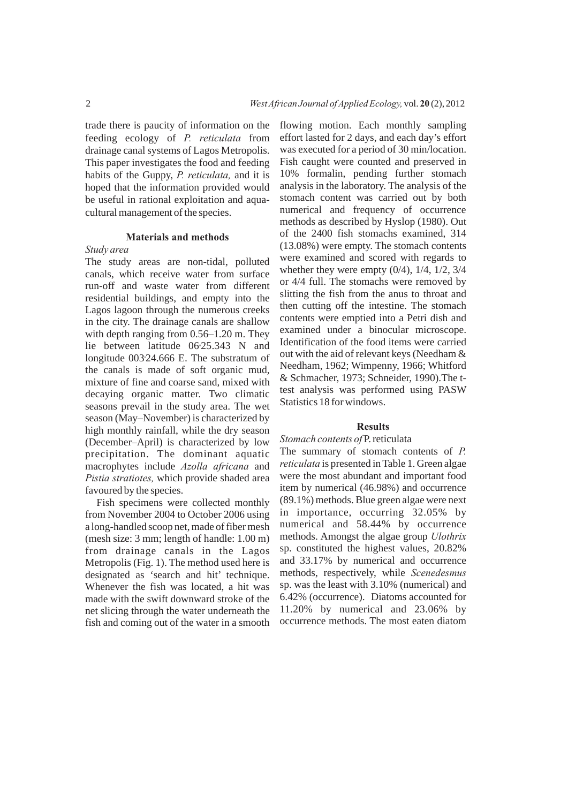trade there is paucity of information on the feeding ecology of *P. reticulata* from drainage canal systems of Lagos Metropolis. This paper investigates the food and feeding habits of the Guppy, *P. reticulata,* and it is hoped that the information provided would be useful in rational exploitation and aquacultural management of the species.

# **Materials and methods**

## *Study area*

The study areas are non-tidal, polluted canals, which receive water from surface run-off and waste water from different residential buildings, and empty into the Lagos lagoon through the numerous creeks in the city. The drainage canals are shallow with depth ranging from  $0.56-1.20$  m. They lie between latitude 06<sup>o</sup>25.343 N and 0 longitude 003 24.666 E. The substratum of the canals is made of soft organic mud, mixture of fine and coarse sand, mixed with decaying organic matter. Two climatic seasons prevail in the study area. The wet season (May–November) is characterized by high monthly rainfall, while the dry season (December–April) is characterized by low precipitation. The dominant aquatic macrophytes include *Azolla africana* and *Pistia stratiotes,* which provide shaded area favoured by the species.

Fish specimens were collected monthly from November 2004 to October 2006 using a long-handled scoop net, made of fiber mesh (mesh size: 3 mm; length of handle: 1.00 m) from drainage canals in the Lagos Metropolis (Fig. 1). The method used here is designated as 'search and hit' technique. Whenever the fish was located, a hit was made with the swift downward stroke of the net slicing through the water underneath the fish and coming out of the water in a smooth flowing motion. Each monthly sampling effort lasted for 2 days, and each day's effort was executed for a period of 30 min/location. Fish caught were counted and preserved in 10% formalin, pending further stomach analysis in the laboratory. The analysis of the stomach content was carried out by both numerical and frequency of occurrence methods as described by Hyslop (1980). Out of the 2400 fish stomachs examined, 314 (13.08%) were empty. The stomach contents were examined and scored with regards to whether they were empty  $(0/4)$ ,  $1/4$ ,  $1/2$ ,  $3/4$ or 4/4 full. The stomachs were removed by slitting the fish from the anus to throat and then cutting off the intestine. The stomach contents were emptied into a Petri dish and examined under a binocular microscope. Identification of the food items were carried out with the aid of relevant keys (Needham & Needham, 1962; Wimpenny, 1966; Whitford & Schmacher, 1973; Schneider, 1990).The ttest analysis was performed using PASW Statistics 18 for windows.

## **Results**

### *Stomach contents of* P. reticulata

The summary of stomach contents of *P. reticulata* is presented in Table 1. Green algae were the most abundant and important food item by numerical (46.98%) and occurrence (89.1%) methods. Blue green algae were next in importance, occurring 32.05% by numerical and 58.44% by occurrence methods. Amongst the algae group *Ulothrix* sp. constituted the highest values, 20.82% and 33.17% by numerical and occurrence methods, respectively, while *Scenedesmus* sp. was the least with 3.10% (numerical) and 6.42% (occurrence). Diatoms accounted for 11.20% by numerical and 23.06% by occurrence methods. The most eaten diatom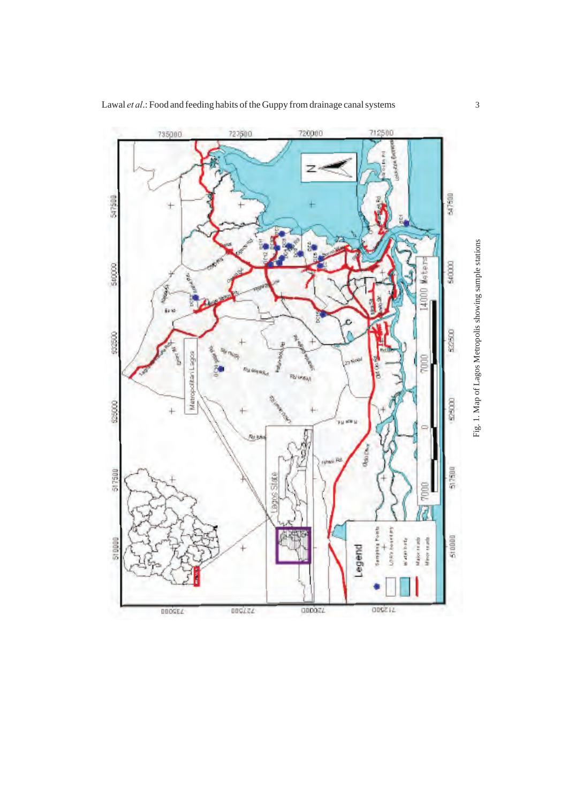720000 712500 735000 727500 z 547500 547500 540000 540000 122500 \$2500 Matropolitan Lagos Ï, Ĕ Í Polinday \$25000 525000 pu steu Pol b **Google** 517500 517500 pans State mm **Lamphis Ponts Journal**y 510000 die bady dialor as ad Minor cras 51000 egend å 113200 009755 000021 DOGEL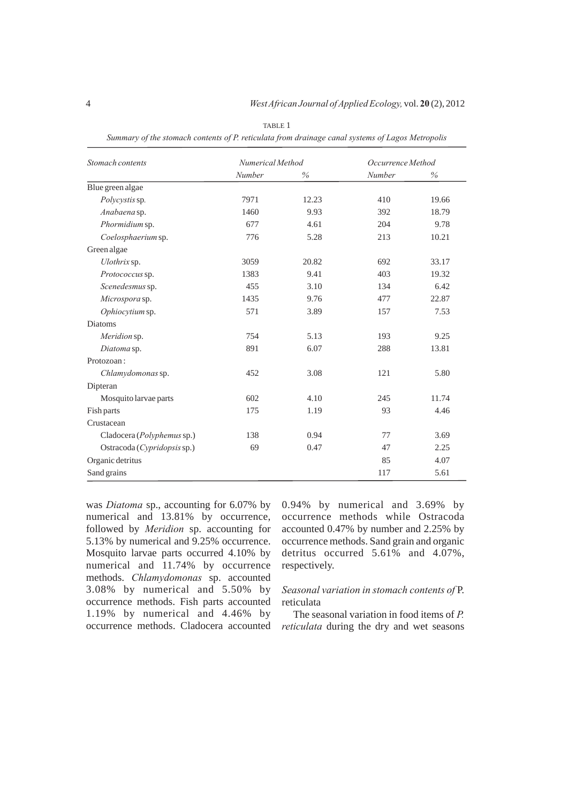| Stomach contents                   | Numerical Method |       | Occurrence Method |       |  |
|------------------------------------|------------------|-------|-------------------|-------|--|
|                                    | Number           | $\%$  | Number            | $\%$  |  |
| Blue green algae                   |                  |       |                   |       |  |
| Polycystis sp.                     | 7971             | 12.23 | 410               | 19.66 |  |
| Anabaena sp.                       | 1460             | 9.93  | 392               | 18.79 |  |
| Phormidium sp.                     | 677              | 4.61  | 204               | 9.78  |  |
| Coelosphaerium sp.                 | 776              | 5.28  | 213               | 10.21 |  |
| Green algae                        |                  |       |                   |       |  |
| Ulothrix sp.                       | 3059             | 20.82 | 692               | 33.17 |  |
| Protococcus sp.                    | 1383             | 9.41  | 403               | 19.32 |  |
| Scenedesmus sp.                    | 455              | 3.10  | 134               | 6.42  |  |
| Microspora sp.                     | 1435             | 9.76  | 477               | 22.87 |  |
| Ophiocytium sp.                    | 571              | 3.89  | 157               | 7.53  |  |
| <b>Diatoms</b>                     |                  |       |                   |       |  |
| Meridion sp.                       | 754              | 5.13  | 193               | 9.25  |  |
| Diatoma sp.                        | 891              | 6.07  | 288               | 13.81 |  |
| Protozoan:                         |                  |       |                   |       |  |
| Chlamydomonas sp.                  | 452              | 3.08  | 121               | 5.80  |  |
| Dipteran                           |                  |       |                   |       |  |
| Mosquito larvae parts              | 602              | 4.10  | 245               | 11.74 |  |
| Fish parts                         | 175              | 1.19  | 93                | 4.46  |  |
| Crustacean                         |                  |       |                   |       |  |
| Cladocera ( <i>Polyphemus</i> sp.) | 138              | 0.94  | 77                | 3.69  |  |
| Ostracoda (Cypridopsis sp.)        | 69               | 0.47  | 47                | 2.25  |  |
| Organic detritus                   |                  |       | 85                | 4.07  |  |
| Sand grains                        |                  |       | 117               | 5.61  |  |

TABLE 1 *Summary of the stomach contents of P. reticulata from drainage canal systems of Lagos Metropolis*

was *Diatoma* sp., accounting for 6.07% by numerical and 13.81% by occurrence, followed by *Meridion* sp. accounting for 5.13% by numerical and 9.25% occurrence. Mosquito larvae parts occurred 4.10% by numerical and 11.74% by occurrence methods. *Chlamydomonas* sp. accounted 3.08% by numerical and 5.50% by occurrence methods. Fish parts accounted 1.19% by numerical and 4.46% by occurrence methods. Cladocera accounted

0.94% by numerical and 3.69% by occurrence methods while Ostracoda accounted 0.47% by number and 2.25% by occurrence methods. Sand grain and organic detritus occurred 5.61% and 4.07%, respectively.

# *Seasonal variation in stomach contents of* P. reticulata

The seasonal variation in food items of *P. reticulata* during the dry and wet seasons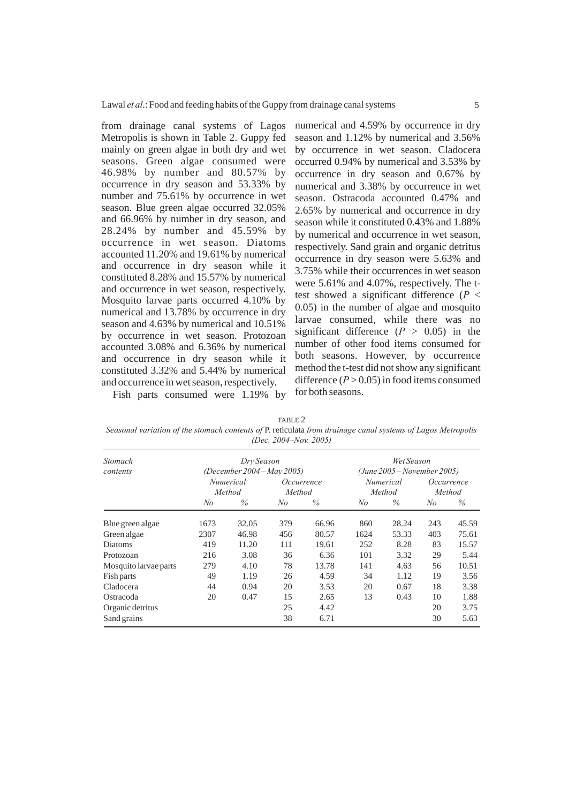from drainage canal systems of Lagos Metropolis is shown in Table 2. Guppy fed mainly on green algae in both dry and wet seasons. Green algae consumed were 46.98% by number and 80.57% by occurrence in dry season and 53.33% by number and 75.61% by occurrence in wet season. Blue green algae occurred 32.05% and 66.96% by number in dry season, and 28.24% by number and 45.59% by occurrence in wet season. Diatoms accounted 11.20% and 19.61% by numerical and occurrence in dry season while it constituted 8.28% and 15.57% by numerical and occurrence in wet season, respectively. Mosquito larvae parts occurred 4.10% by numerical and 13.78% by occurrence in dry season and 4.63% by numerical and 10.51% by occurrence in wet season. Protozoan accounted 3.08% and 6.36% by numerical and occurrence in dry season while it constituted 3.32% and 5.44% by numerical and occurrence in wet season, respectively.

numerical and 4.59% by occurrence in dry season and 1.12% by numerical and 3.56% by occurrence in wet season. Cladocera occurred 0.94% by numerical and 3.53% by occurrence in dry season and 0.67% by numerical and 3.38% by occurrence in wet season. Ostracoda accounted 0.47% and 2.65% by numerical and occurrence in dry season while it constituted 0.43% and 1.88% by numerical and occurrence in wet season, respectively. Sand grain and organic detritus occurrence in dry season were 5.63% and 3.75% while their occurrences in wet season were 5.61% and 4.07%, respectively. The ttest showed a significant difference (*P* < 0.05) in the number of algae and mosquito larvae consumed, while there was no significant difference  $(P > 0.05)$  in the number of other food items consumed for both seasons. However, by occurrence method the t-test did not show any significant difference  $(P > 0.05)$  in food items consumed for both seasons.

Fish parts consumed were 1.19% by

TABLE 2 *Seasonal variation of the stomach contents of* P. reticulata *from drainage canal systems of Lagos Metropolis (Dec. 2004–Nov. 2005)*

| Stomach<br>contents   | Dry Season                                               |       |                      |       | Wet Season                                                  |       |                      |       |
|-----------------------|----------------------------------------------------------|-------|----------------------|-------|-------------------------------------------------------------|-------|----------------------|-------|
|                       | (December 2004 – May 2005)<br><i>Numerical</i><br>Method |       | Occurrence<br>Method |       | $(June\,2005-November\,2005)$<br><i>Numerical</i><br>Method |       | Occurrence<br>Method |       |
|                       | $N_{O}$                                                  | $\%$  | No                   | $\%$  | No                                                          | $\%$  | No                   | $\%$  |
| Blue green algae      | 1673                                                     | 32.05 | 379                  | 66.96 | 860                                                         | 28.24 | 243                  | 45.59 |
| Green algae           | 2307                                                     | 46.98 | 456                  | 80.57 | 1624                                                        | 53.33 | 403                  | 75.61 |
| Diatoms               | 419                                                      | 11.20 | 111                  | 19.61 | 252                                                         | 8.28  | 83                   | 15.57 |
| Protozoan             | 216                                                      | 3.08  | 36                   | 6.36  | 101                                                         | 3.32  | 29                   | 5.44  |
| Mosquito larvae parts | 279                                                      | 4.10  | 78                   | 13.78 | 141                                                         | 4.63  | 56                   | 10.51 |
| Fish parts            | 49                                                       | 1.19  | 26                   | 4.59  | 34                                                          | 1.12  | 19                   | 3.56  |
| Cladocera             | 44                                                       | 0.94  | 20                   | 3.53  | 20                                                          | 0.67  | 18                   | 3.38  |
| Ostracoda             | 20                                                       | 0.47  | 15                   | 2.65  | 13                                                          | 0.43  | 10                   | 1.88  |
| Organic detritus      |                                                          |       | 25                   | 4.42  |                                                             |       | 20                   | 3.75  |
| Sand grains           |                                                          |       | 38                   | 6.71  |                                                             |       | 30                   | 5.63  |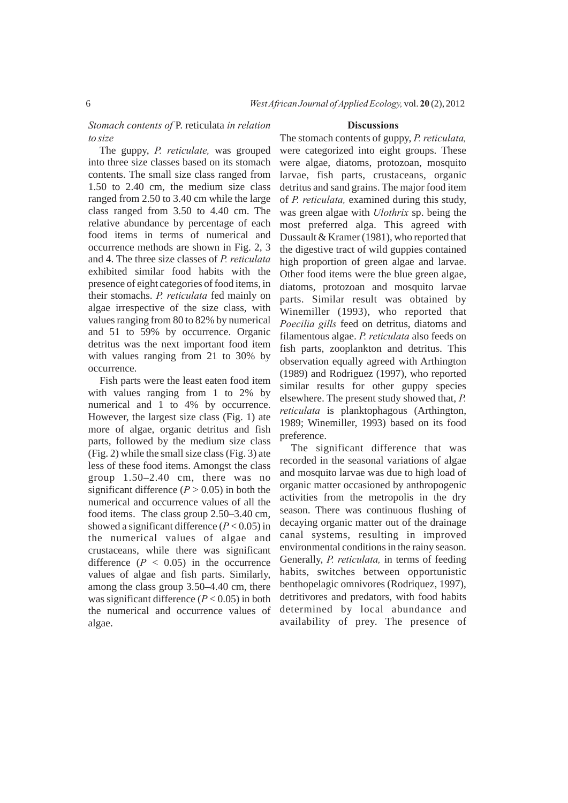*Stomach contents of* P. reticulata *in relation to size*

The guppy, *P. reticulate,* was grouped into three size classes based on its stomach contents. The small size class ranged from 1.50 to 2.40 cm, the medium size class ranged from 2.50 to 3.40 cm while the large class ranged from 3.50 to 4.40 cm. The relative abundance by percentage of each food items in terms of numerical and occurrence methods are shown in Fig. 2, 3 and 4. The three size classes of *P. reticulata* exhibited similar food habits with the presence of eight categories of food items, in their stomachs. *P. reticulata* fed mainly on algae irrespective of the size class, with values ranging from 80 to 82% by numerical and 51 to 59% by occurrence. Organic detritus was the next important food item with values ranging from 21 to 30% by occurrence.

Fish parts were the least eaten food item with values ranging from 1 to 2% by numerical and 1 to 4% by occurrence. However, the largest size class (Fig. 1) ate more of algae, organic detritus and fish parts, followed by the medium size class (Fig. 2) while the small size class (Fig. 3) ate less of these food items. Amongst the class group 1.50–2.40 cm, there was no significant difference  $(P > 0.05)$  in both the numerical and occurrence values of all the food items. The class group 2.50–3.40 cm, showed a significant difference (*P* < 0.05) in the numerical values of algae and crustaceans, while there was significant difference  $(P < 0.05)$  in the occurrence values of algae and fish parts. Similarly, among the class group 3.50–4.40 cm, there was significant difference  $(P < 0.05)$  in both the numerical and occurrence values of algae.

#### **Discussions**

The stomach contents of guppy, *P. reticulata,* were categorized into eight groups. These were algae, diatoms, protozoan, mosquito larvae, fish parts, crustaceans, organic detritus and sand grains. The major food item of *P. reticulata,* examined during this study, was green algae with *Ulothrix* sp. being the most preferred alga. This agreed with Dussault & Kramer (1981), who reported that the digestive tract of wild guppies contained high proportion of green algae and larvae. Other food items were the blue green algae, diatoms, protozoan and mosquito larvae parts. Similar result was obtained by Winemiller (1993), who reported that *Poecilia gills* feed on detritus, diatoms and filamentous algae. *P. reticulata* also feeds on fish parts, zooplankton and detritus. This observation equally agreed with Arthington (1989) and Rodriguez (1997), who reported similar results for other guppy species elsewhere. The present study showed that, *P. reticulata* is planktophagous (Arthington, 1989; Winemiller, 1993) based on its food preference.

The significant difference that was recorded in the seasonal variations of algae and mosquito larvae was due to high load of organic matter occasioned by anthropogenic activities from the metropolis in the dry season. There was continuous flushing of decaying organic matter out of the drainage canal systems, resulting in improved environmental conditions in the rainy season. Generally, *P. reticulata,* in terms of feeding habits, switches between opportunistic benthopelagic omnivores (Rodriquez, 1997), detritivores and predators, with food habits determined by local abundance and availability of prey. The presence of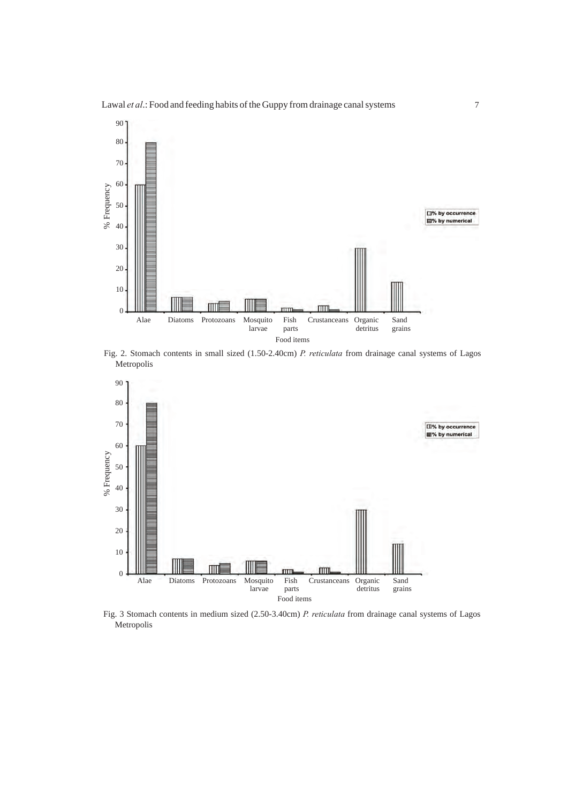



Fig. 2. Stomach contents in small sized (1.50-2.40cm) *P. reticulata* from drainage canal systems of Lagos Metropolis



Fig. 3 Stomach contents in medium sized (2.50-3.40cm) *P. reticulata* from drainage canal systems of Lagos Metropolis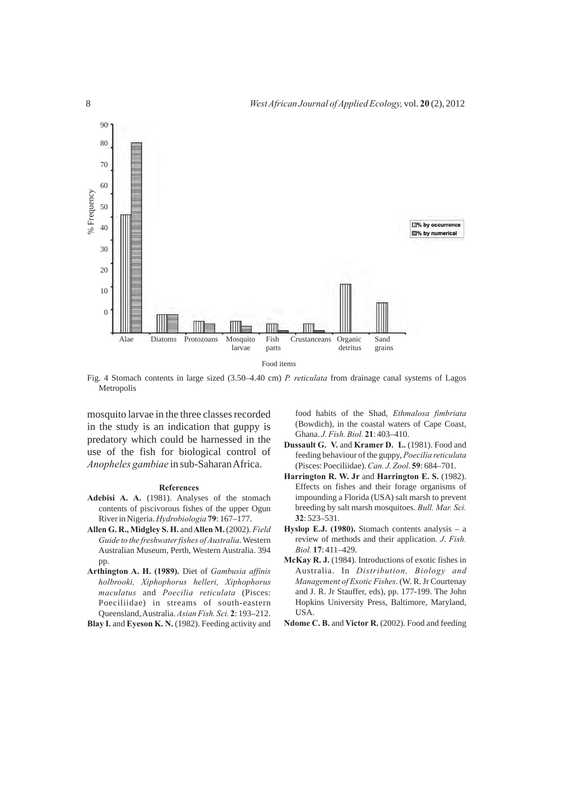

Fig. 4 Stomach contents in large sized (3.50–4.40 cm) *P. reticulata* from drainage canal systems of Lagos Metropolis

mosquito larvae in the three classes recorded in the study is an indication that guppy is predatory which could be harnessed in the use of the fish for biological control of *Anopheles gambiae* in sub-Saharan Africa.

#### **References**

- **Adebisi A. A.** (1981). Analyses of the stomach contents of piscivorous fishes of the upper Ogun River in Nigeria. *Hydrobiologia* **79**: 167–177.
- **Allen G. R., Midgley S. H.** and **Allen M.** (2002). *Field Guide to the freshwater fishes of Australia*. Western Australian Museum, Perth, Western Australia. 394 pp.
- **Arthington A. H. (1989).** Diet of *Gambusia affinis holbrooki, Xiphophorus helleri, Xiphophorus maculatus* and *Poecilia reticulata* (Pisces: Poeciliidae) in streams of south-eastern Queensland, Australia. *Asian Fish. Sci.* **2**: 193–212.
- Blay I. and Eyeson K. N. (1982). Feeding activity and

food habits of the Shad, *Ethmalosa fimbriata* (Bowdich), in the coastal waters of Cape Coast, Ghana. *J. Fish. Biol.* **21**: 403–410.

- **Dussault G. V.** and **Kramer D. L.** (1981). Food and feeding behaviour of the guppy, *Poecilia reticulata* (Pisces: Poeciliidae). *Can. J. Zool*. **59**: 684–701.
- **Harrington R. W. Jr** and **Harrington E. S.** (1982). Effects on fishes and their forage organisms of impounding a Florida (USA) salt marsh to prevent breeding by salt marsh mosquitoes. *Bull. Mar. Sci.* **32**: 523–531.
- **Hyslop E.J. (1980).** Stomach contents analysis a review of methods and their application. *J*. *Fish. Biol.* **17**: 411–429.
- **McKay R. J.** (1984). Introductions of exotic fishes in Australia. In *Distribution, Biology and Management of Exotic Fishes*. (W. R. Jr Courtenay and J. R. Jr Stauffer, eds), pp. 177-199. The John Hopkins University Press, Baltimore, Maryland, USA.
- **Ndome C. B.** and **Victor R.** (2002). Food and feeding